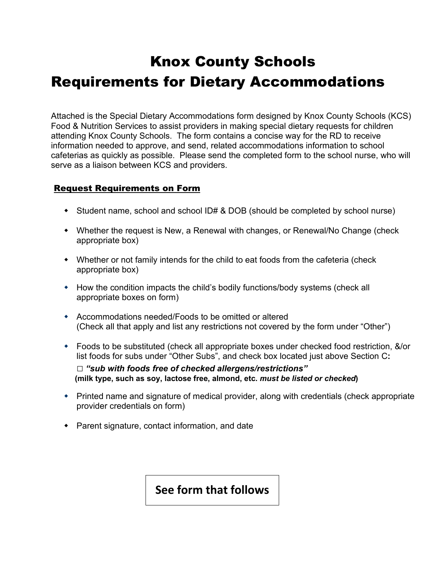## Knox County Schools Requirements for Dietary Accommodations

Attached is the Special Dietary Accommodations form designed by Knox County Schools (KCS) Food & Nutrition Services to assist providers in making special dietary requests for children attending Knox County Schools. The form contains a concise way for the RD to receive information needed to approve, and send, related accommodations information to school cafeterias as quickly as possible. Please send the completed form to the school nurse, who will serve as a liaison between KCS and providers.

## Request Requirements on Form

- Student name, school and school ID# & DOB (should be completed by school nurse)
- Whether the request is New, a Renewal with changes, or Renewal/No Change (check appropriate box)
- Whether or not family intends for the child to eat foods from the cafeteria (check appropriate box)
- How the condition impacts the child's bodily functions/body systems (check all appropriate boxes on form)
- Accommodations needed/Foods to be omitted or altered (Check all that apply and list any restrictions not covered by the form under "Other")
- Foods to be substituted (check all appropriate boxes under checked food restriction, &/or list foods for subs under "Other Subs", and check box located just above Section C**: □** *"sub with foods free of checked allergens/restrictions"* **(milk type, such as soy, lactose free, almond, etc.** *must be listed or checked***)**
- Printed name and signature of medical provider, along with credentials (check appropriate provider credentials on form)
- Parent signature, contact information, and date

## **See form that follows**